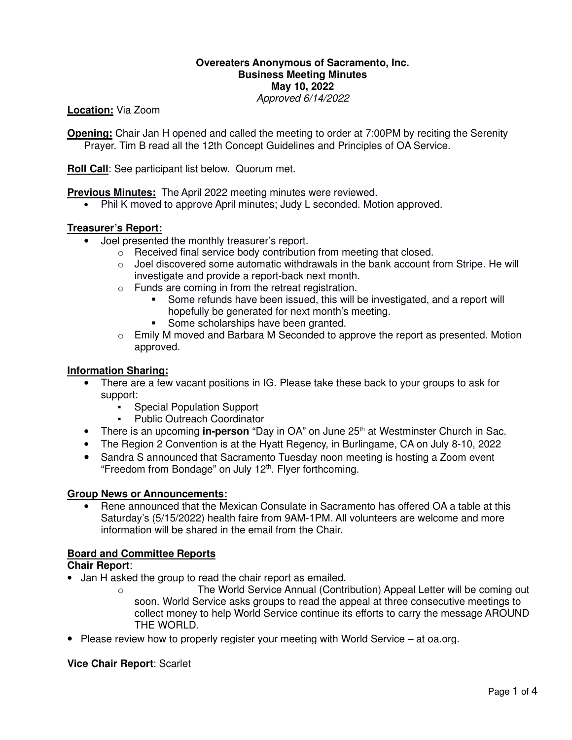### **Overeaters Anonymous of Sacramento, Inc. Business Meeting Minutes May 10, 2022** Approved 6/14/2022

**Location:** Via Zoom

**Opening:** Chair Jan H opened and called the meeting to order at 7:00PM by reciting the Serenity Prayer. Tim B read all the 12th Concept Guidelines and Principles of OA Service.

**Roll Call**: See participant list below. Quorum met.

**Previous Minutes:** The April 2022 meeting minutes were reviewed.

• Phil K moved to approve April minutes; Judy L seconded. Motion approved.

### **Treasurer's Report:**

- Joel presented the monthly treasurer's report.
	- o Received final service body contribution from meeting that closed.
	- $\circ$  Joel discovered some automatic withdrawals in the bank account from Stripe. He will investigate and provide a report-back next month.
	- o Funds are coming in from the retreat registration.
		- Some refunds have been issued, this will be investigated, and a report will hopefully be generated for next month's meeting.
		- Some scholarships have been granted.
	- $\circ$  Emily M moved and Barbara M Seconded to approve the report as presented. Motion approved.

#### **Information Sharing:**

- There are a few vacant positions in IG. Please take these back to your groups to ask for support:
	- **•** Special Population Support<br>• Public Outreach Coordinator
	- **Public Outreach Coordinator**
- There is an upcoming **in-person** "Day in OA" on June 25<sup>th</sup> at Westminster Church in Sac.
- The Region 2 Convention is at the Hyatt Regency, in Burlingame, CA on July 8-10, 2022
- Sandra S announced that Sacramento Tuesday noon meeting is hosting a Zoom event "Freedom from Bondage" on July 12<sup>th</sup>. Flyer forthcoming.

#### **Group News or Announcements:**

• Rene announced that the Mexican Consulate in Sacramento has offered OA a table at this Saturday's (5/15/2022) health faire from 9AM-1PM. All volunteers are welcome and more information will be shared in the email from the Chair.

#### **Board and Committee Reports**

#### **Chair Report**:

- Jan H asked the group to read the chair report as emailed.
	- o The World Service Annual (Contribution) Appeal Letter will be coming out soon. World Service asks groups to read the appeal at three consecutive meetings to collect money to help World Service continue its efforts to carry the message AROUND THE WORLD.
- Please review how to properly register your meeting with World Service at oa.org.

#### **Vice Chair Report**: Scarlet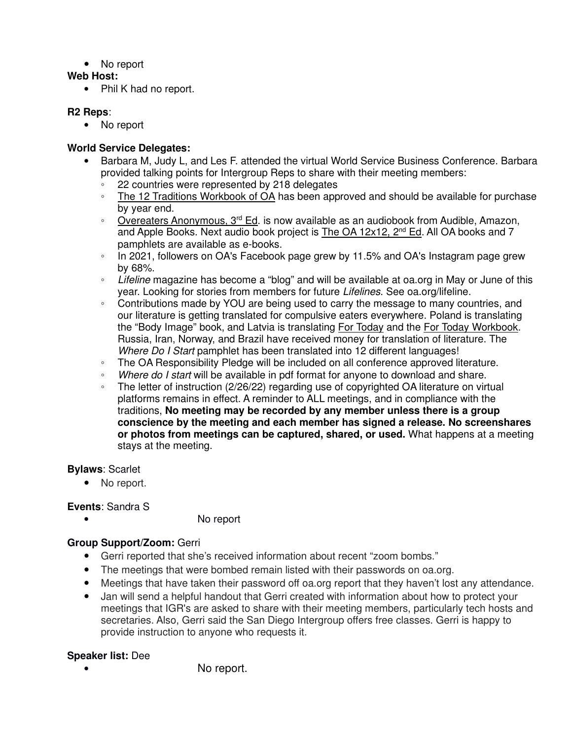• No report

## **Web Host:**

• Phil K had no report.

## **R2 Reps**:

• No report

## **World Service Delegates:**

- Barbara M, Judy L, and Les F. attended the virtual World Service Business Conference. Barbara provided talking points for Intergroup Reps to share with their meeting members:
	- 22 countries were represented by 218 delegates<br>◦ The 12 Traditions Workbook of OA has been ann
	- The 12 Traditions Workbook of OA has been approved and should be available for purchase by year end.
	- Overeaters Anonymous, 3<sup>rd</sup> Ed. is now available as an audiobook from Audible, Amazon, and Apple Books. Next audio book project is The OA 12x12, 2<sup>nd</sup> Ed. All OA books and 7 pamphlets are available as e-books.
	- In 2021, followers on OA's Facebook page grew by 11.5% and OA's Instagram page grew by 68%.
	- Lifeline magazine has become a "blog" and will be available at oa.org in May or June of this year. Looking for stories from members for future Lifelines. See oa.org/lifeline.
	- Contributions made by YOU are being used to carry the message to many countries, and our literature is getting translated for compulsive eaters everywhere. Poland is translating the "Body Image" book, and Latvia is translating For Today and the For Today Workbook. Russia, Iran, Norway, and Brazil have received money for translation of literature. The Where Do I Start pamphlet has been translated into 12 different languages!
	- The OA Responsibility Pledge will be included on all conference approved literature.
	- Where do I start will be available in pdf format for anyone to download and share.
	- The letter of instruction (2/26/22) regarding use of copyrighted OA literature on virtual platforms remains in effect. A reminder to ALL meetings, and in compliance with the traditions, **No meeting may be recorded by any member unless there is a group conscience by the meeting and each member has signed a release. No screenshares or photos from meetings can be captured, shared, or used.** What happens at a meeting stays at the meeting.

# **Bylaws**: Scarlet

• No report.

# **Events**: Sandra S

• No report

# **Group Support/Zoom:** Gerri

- Gerri reported that she's received information about recent "zoom bombs."
- The meetings that were bombed remain listed with their passwords on oa.org.
- Meetings that have taken their password off oa.org report that they haven't lost any attendance.
- Jan will send a helpful handout that Gerri created with information about how to protect your meetings that IGR's are asked to share with their meeting members, particularly tech hosts and secretaries. Also, Gerri said the San Diego Intergroup offers free classes. Gerri is happy to provide instruction to anyone who requests it.

# **Speaker list:** Dee

No report.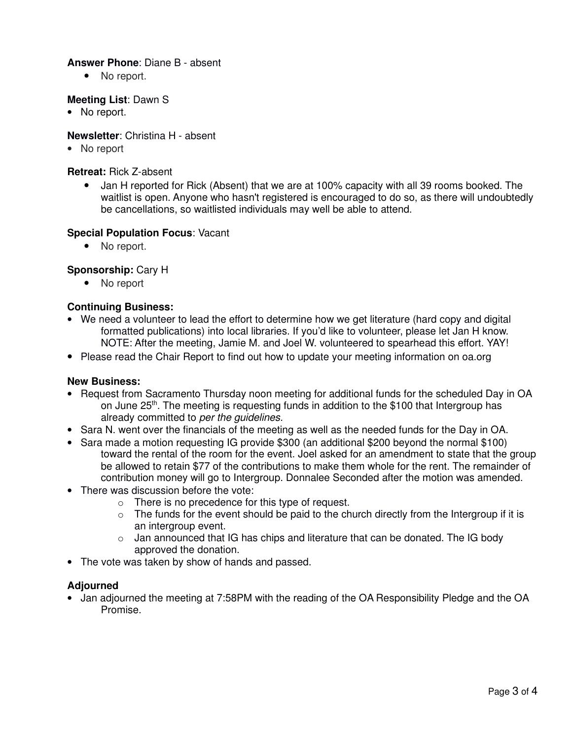### **Answer Phone**: Diane B - absent

• No report.

## **Meeting List**: Dawn S

• No report.

## **Newsletter**: Christina H - absent

• No report

### **Retreat:** Rick Z-absent

• Jan H reported for Rick (Absent) that we are at 100% capacity with all 39 rooms booked. The waitlist is open. Anyone who hasn't registered is encouraged to do so, as there will undoubtedly be cancellations, so waitlisted individuals may well be able to attend.

### **Special Population Focus**: Vacant

• No report.

## **Sponsorship:** Cary H

• No report

## **Continuing Business:**

- We need a volunteer to lead the effort to determine how we get literature (hard copy and digital formatted publications) into local libraries. If you'd like to volunteer, please let Jan H know. NOTE: After the meeting, Jamie M. and Joel W. volunteered to spearhead this effort. YAY!
- Please read the Chair Report to find out how to update your meeting information on oa.org

### **New Business:**

- Request from Sacramento Thursday noon meeting for additional funds for the scheduled Day in OA on June 25<sup>th</sup>. The meeting is requesting funds in addition to the \$100 that Intergroup has already committed to per the guidelines.
- Sara N. went over the financials of the meeting as well as the needed funds for the Day in OA.
- Sara made a motion requesting IG provide \$300 (an additional \$200 beyond the normal \$100) toward the rental of the room for the event. Joel asked for an amendment to state that the group be allowed to retain \$77 of the contributions to make them whole for the rent. The remainder of contribution money will go to Intergroup. Donnalee Seconded after the motion was amended.
- There was discussion before the vote:
	- $\circ$  There is no precedence for this type of request.
	- $\circ$  The funds for the event should be paid to the church directly from the Intergroup if it is an intergroup event.
	- $\circ$  Jan announced that IG has chips and literature that can be donated. The IG body approved the donation.
- The vote was taken by show of hands and passed.

### **Adjourned**

• Jan adjourned the meeting at 7:58PM with the reading of the OA Responsibility Pledge and the OA Promise.